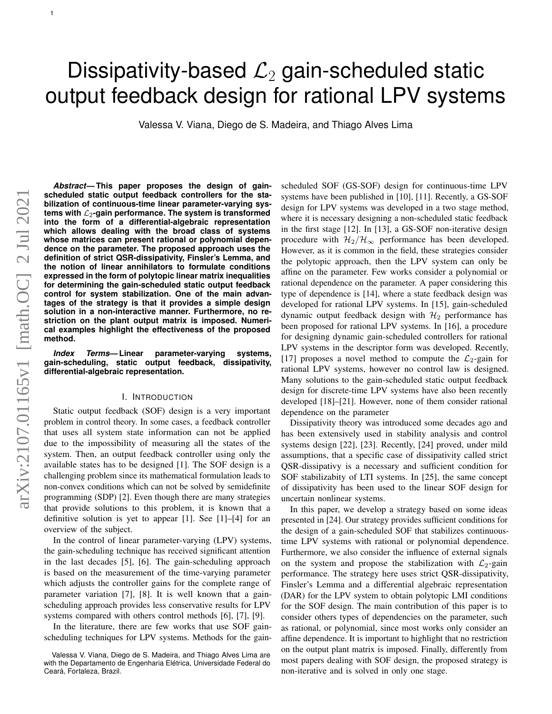# Dissipativity-based  $\mathcal{L}_2$  gain-scheduled static output feedback design for rational LPV systems

Valessa V. Viana, Diego de S. Madeira, and Thiago Alves Lima

1

*Abstract***— This paper proposes the design of gainscheduled static output feedback controllers for the stabilization of continuous-time linear parameter-varying systems with** L2**-gain performance. The system is transformed into the form of a differential-algebraic representation which allows dealing with the broad class of systems whose matrices can present rational or polynomial dependence on the parameter. The proposed approach uses the definition of strict QSR-dissipativity, Finsler's Lemma, and the notion of linear annihilators to formulate conditions expressed in the form of polytopic linear matrix inequalities for determining the gain-scheduled static output feedback control for system stabilization. One of the main advantages of the strategy is that it provides a simple design solution in a non-interactive manner. Furthermore, no restriction on the plant output matrix is imposed. Numerical examples highlight the effectiveness of the proposed method.**

*Index Terms***— Linear parameter-varying systems, gain-scheduling, static output feedback, dissipativity, differential-algebraic representation.**

# I. INTRODUCTION

Static output feedback (SOF) design is a very important problem in control theory. In some cases, a feedback controller that uses all system state information can not be applied due to the impossibility of measuring all the states of the system. Then, an output feedback controller using only the available states has to be designed [1]. The SOF design is a challenging problem since its mathematical formulation leads to non-convex conditions which can not be solved by semidefinite programming (SDP) [2]. Even though there are many strategies that provide solutions to this problem, it is known that a definitive solution is yet to appear [1]. See [1]–[4] for an overview of the subject.

In the control of linear parameter-varying (LPV) systems, the gain-scheduling technique has received significant attention in the last decades [5], [6]. The gain-scheduling approach is based on the measurement of the time-varying parameter which adjusts the controller gains for the complete range of parameter variation [7], [8]. It is well known that a gainscheduling approach provides less conservative results for LPV systems compared with others control methods [6], [7], [9].

In the literature, there are few works that use SOF gainscheduling techniques for LPV systems. Methods for the gainscheduled SOF (GS-SOF) design for continuous-time LPV systems have been published in [10], [11]. Recently, a GS-SOF design for LPV systems was developed in a two stage method, where it is necessary designing a non-scheduled static feedback in the first stage [12]. In [13], a GS-SOF non-iterative design procedure with  $\mathcal{H}_2/\mathcal{H}_{\infty}$  performance has been developed. However, as it is common in the field, these strategies consider the polytopic approach, then the LPV system can only be affine on the parameter. Few works consider a polynomial or rational dependence on the parameter. A paper considering this type of dependence is [14], where a state feedback design was developed for rational LPV systems. In [15], gain-scheduled dynamic output feedback design with  $\mathcal{H}_2$  performance has been proposed for rational LPV systems. In [16], a procedure for designing dynamic gain-scheduled controllers for rational LPV systems in the descriptor form was developed. Recently, [17] proposes a novel method to compute the  $\mathcal{L}_2$ -gain for rational LPV systems, however no control law is designed. Many solutions to the gain-scheduled static output feedback design for discrete-time LPV systems have also been recently developed [18]–[21]. However, none of them consider rational dependence on the parameter

Dissipativity theory was introduced some decades ago and has been extensively used in stability analysis and control systems design [22], [23]. Recently, [24] proved, under mild assumptions, that a specific case of dissipativity called strict QSR-dissipativy is a necessary and sufficient condition for SOF stabilizabity of LTI systems. In [25], the same concept of dissipativity has been used to the linear SOF design for uncertain nonlinear systems.

In this paper, we develop a strategy based on some ideas presented in [24]. Our strategy provides sufficient conditions for the design of a gain-scheduled SOF that stabilizes continuoustime LPV systems with rational or polynomial dependence. Furthermore, we also consider the influence of external signals on the system and propose the stabilization with  $\mathcal{L}_2$ -gain performance. The strategy here uses strict QSR-dissipativity, Finsler's Lemma and a differential algebraic representation (DAR) for the LPV system to obtain polytopic LMI conditions for the SOF design. The main contribution of this paper is to consider others types of dependencies on the parameter, such as rational, or polynomial, since most works only consider an affine dependence. It is important to highlight that no restriction on the output plant matrix is imposed. Finally, differently from most papers dealing with SOF design, the proposed strategy is non-iterative and is solved in only one stage.

Valessa V. Viana, Diego de S. Madeira, and Thiago Alves Lima are with the Departamento de Engenharia Elétrica, Universidade Federal do Ceará, Fortaleza, Brazil.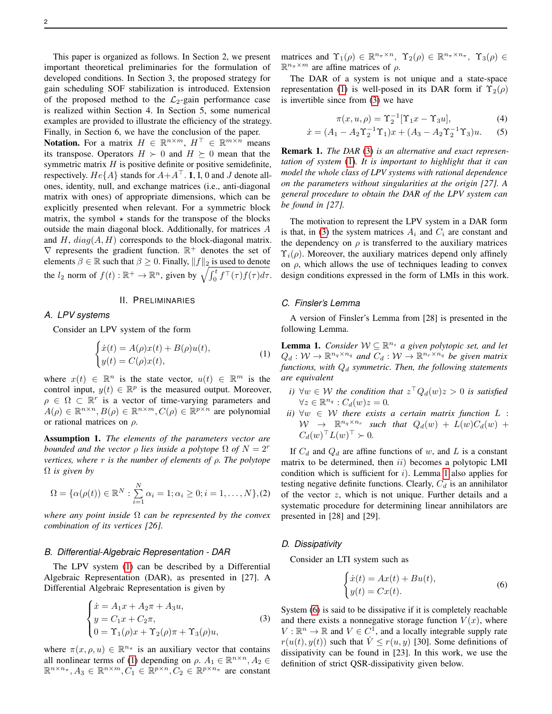This paper is organized as follows. In Section 2, we present important theoretical preliminaries for the formulation of developed conditions. In Section 3, the proposed strategy for gain scheduling SOF stabilization is introduced. Extension of the proposed method to the  $\mathcal{L}_2$ -gain performance case is realized within Section 4. In Section 5, some numerical examples are provided to illustrate the efficiency of the strategy. Finally, in Section 6, we have the conclusion of the paper.

**Notation.** For a matrix  $H \in \mathbb{R}^{n \times m}$ ,  $H^{\top} \in \mathbb{R}^{m \times n}$  means its transpose. Operators  $H \succ 0$  and  $H \succeq 0$  mean that the symmetric matrix  $H$  is positive definite or positive semidefinite, respectively.  $He{A}$  stands for  $A+A^{\top}$ . 1, I, 0 and J denote allones, identity, null, and exchange matrices (i.e., anti-diagonal matrix with ones) of appropriate dimensions, which can be explicitly presented when relevant. For a symmetric block matrix, the symbol  $\star$  stands for the transpose of the blocks outside the main diagonal block. Additionally, for matrices A and H,  $diag(A, H)$  corresponds to the block-diagonal matrix.  $\nabla$  represents the gradient function.  $\mathbb{R}^+$  denotes the set of elements  $\beta \in \mathbb{R}$  such that  $\beta \geq 0$ . Finally,  $||f||_2$  is used to denote the  $l_2$  norm of  $f(t): \mathbb{R}^+ \to \mathbb{R}^n$ , given by  $\sqrt{\int_0^t f^\top(\tau) f(\tau) d\tau}$ .

## II. PRELIMINARIES

## *A. LPV systems*

Consider an LPV system of the form

$$
\begin{cases}\n\dot{x}(t) = A(\rho)x(t) + B(\rho)u(t), \\
y(t) = C(\rho)x(t),\n\end{cases} \tag{1}
$$

where  $x(t) \in \mathbb{R}^n$  is the state vector,  $u(t) \in \mathbb{R}^m$  is the control input,  $y(t) \in \mathbb{R}^p$  is the measured output. Moreover,  $\rho \in \Omega \subset \mathbb{R}^r$  is a vector of time-varying parameters and  $A(\rho) \in \mathbb{R}^{n \times n}, B(\rho) \in \mathbb{R}^{n \times m}, C(\rho) \in \mathbb{R}^{p \times n}$  are polynomial or rational matrices on  $\rho$ .

Assumption 1. *The elements of the parameters vector are bounded and the vector*  $\rho$  *lies inside a polytope*  $\Omega$  *of*  $N = 2^r$ *vertices, where* r *is the number of elements of* ρ*. The polytope* Ω *is given by*

<span id="page-1-4"></span>
$$
\Omega = \{ \alpha(\rho(t)) \in \mathbb{R}^N : \sum_{i=1}^N \alpha_i = 1; \alpha_i \ge 0; i = 1, ..., N \}, (2)
$$

*where any point inside* Ω *can be represented by the convex combination of its vertices [26].*

### *B. Differential-Algebraic Representation - DAR*

The LPV system [\(1\)](#page-1-0) can be described by a Differential Algebraic Representation (DAR), as presented in [27]. A Differential Algebraic Representation is given by

$$
\begin{cases}\n\dot{x} = A_1 x + A_2 \pi + A_3 u, \\
y = C_1 x + C_2 \pi, \\
0 = \Upsilon_1(\rho) x + \Upsilon_2(\rho) \pi + \Upsilon_3(\rho) u,\n\end{cases}
$$
\n(3)

where  $\pi(x, \rho, u) \in \mathbb{R}^{n_{\pi}}$  is an auxiliary vector that contains all nonlinear terms of [\(1\)](#page-1-0) depending on  $\rho$ .  $A_1 \in \mathbb{R}^{n \times n}$ ,  $A_2 \in$  $\mathbb{R}^{n \times n_{\pi}}, A_3 \in \mathbb{R}^{n \times m}, C_1 \in \mathbb{R}^{p \times n}, C_2 \in \mathbb{R}^{p \times n_{\pi}}$  are constant matrices and  $\Upsilon_1(\rho) \in \mathbb{R}^{n_{\pi} \times n}$ ,  $\Upsilon_2(\rho) \in \mathbb{R}^{n_{\pi} \times n_{\pi}}$ ,  $\Upsilon_3(\rho) \in$  $\mathbb{R}^{n_{\pi}\times m}$  are affine matrices of  $\rho$ .

The DAR of a system is not unique and a state-space representation [\(1\)](#page-1-0) is well-posed in its DAR form if  $\Upsilon_2(\rho)$ is invertible since from [\(3\)](#page-1-1) we have

$$
\pi(x, u, \rho) = \Upsilon_2^{-1} [\Upsilon_1 x - \Upsilon_3 u], \tag{4}
$$

$$
\dot{x} = (A_1 - A_2 \Upsilon_2^{-1} \Upsilon_1) x + (A_3 - A_2 \Upsilon_2^{-1} \Upsilon_3) u. \tag{5}
$$

Remark 1. *The DAR* [\(3\)](#page-1-1) *is an alternative and exact representation of system* [\(1\)](#page-1-0)*. It is important to highlight that it can model the whole class of LPV systems with rational dependence on the parameters without singularities at the origin [27]. A general procedure to obtain the DAR of the LPV system can be found in [27].*

The motivation to represent the LPV system in a DAR form is that, in [\(3\)](#page-1-1) the system matrices  $A_i$  and  $C_i$  are constant and the dependency on  $\rho$  is transferred to the auxiliary matrices  $\Upsilon_i(\rho)$ . Moreover, the auxiliary matrices depend only affinely on  $\rho$ , which allows the use of techniques leading to convex design conditions expressed in the form of LMIs in this work.

### *C. Finsler's Lemma*

A version of Finsler's Lemma from [28] is presented in the following Lemma.

<span id="page-1-2"></span><span id="page-1-0"></span>**Lemma 1.** *Consider*  $W \subseteq \mathbb{R}^{n_s}$  *a* given polytopic set, and let  $Q_d: W \to \mathbb{R}^{n_q \times n_q}$  and  $C_d: W \to \mathbb{R}^{n_r \times n_q}$  be given matrix  $functions, with  $Q_d$  symmetric. Then, the following statements$ *are equivalent*

- *i*)  $\forall w \in \mathcal{W}$  the condition that  $z^{\top} Q_d(w) z > 0$  is satisfied  $\forall z \in \mathbb{R}^{n_q} : C_d(w)z = 0.$
- *ii*)  $\forall w \in W$  *there exists a certain matrix function*  $L$  :  $W \rightarrow \mathbb{R}^{n_q \times n_r}$  such that  $Q_d(w) + L(w)C_d(w) +$  $C_d(w)^\top L(w)^\top \succ 0.$

If  $C_d$  and  $Q_d$  are affine functions of w, and L is a constant matrix to be determined, then  $ii)$  becomes a polytopic LMI condition which is sufficient for  $i$ ). Lemma [1](#page-1-2) also applies for testing negative definite functions. Clearly,  $C_d$  is an annihilator of the vector z, which is not unique. Further details and a systematic procedure for determining linear annihilators are presented in [28] and [29].

#### *D. Dissipativity*

Consider an LTI system such as

<span id="page-1-3"></span>
$$
\begin{cases}\n\dot{x}(t) = Ax(t) + Bu(t), \\
y(t) = Cx(t).\n\end{cases}
$$
\n(6)

<span id="page-1-1"></span>System [\(6\)](#page-1-3) is said to be dissipative if it is completely reachable and there exists a nonnegative storage function  $V(x)$ , where  $V : \mathbb{R}^n \to \mathbb{R}$  and  $V \in C^1$ , and a locally integrable supply rate  $r(u(t), y(t))$  such that  $\dot{V} \leq r(u, y)$  [30]. Some definitions of dissipativity can be found in [23]. In this work, we use the definition of strict QSR-dissipativity given below.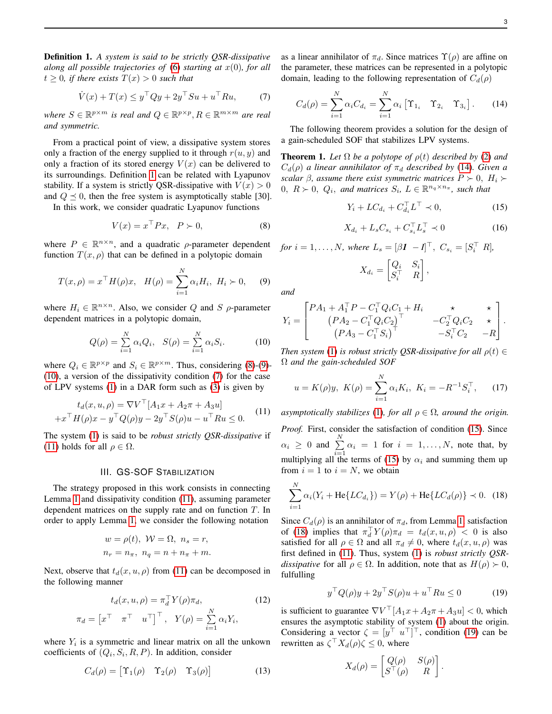<span id="page-2-0"></span>Definition 1. *A system is said to be strictly QSR-dissipative along all possible trajectories of* [\(6\)](#page-1-3) *starting at* x(0)*, for all*  $t > 0$ , if there exists  $T(x) > 0$  such that

<span id="page-2-4"></span>
$$
\dot{V}(x) + T(x) \le y^\top Q y + 2y^\top S u + u^\top R u,\tag{7}
$$

where  $S \in \mathbb{R}^{p \times m}$  is real and  $Q \in \mathbb{R}^{p \times p}$ ,  $R \in \mathbb{R}^{m \times m}$  are real *and symmetric.*

From a practical point of view, a dissipative system stores only a fraction of the energy supplied to it through  $r(u, y)$  and only a fraction of its stored energy  $V(x)$  can be delivered to its surroundings. Definition [1](#page-2-0) can be related with Lyapunov stability. If a system is strictly QSR-dissipative with  $V(x) > 0$ and  $Q \preceq 0$ , then the free system is asymptotically stable [30].

In this work, we consider quadratic Lyapunov functions

<span id="page-2-1"></span>
$$
V(x) = x^{\top} P x, \quad P \succ 0,\tag{8}
$$

where  $P \in \mathbb{R}^{n \times n}$ , and a quadratic  $\rho$ -parameter dependent function  $T(x, \rho)$  that can be defined in a polytopic domain

<span id="page-2-2"></span>
$$
T(x,\rho) = x^{\top} H(\rho)x, \quad H(\rho) = \sum_{i=1}^{N} \alpha_i H_i, \ H_i \succ 0, \quad (9)
$$

where  $H_i \in \mathbb{R}^{n \times n}$ . Also, we consider Q and S  $\rho$ -parameter dependent matrices in a polytopic domain,

<span id="page-2-3"></span>
$$
Q(\rho) = \sum_{i=1}^{N} \alpha_i Q_i, \quad S(\rho) = \sum_{i=1}^{N} \alpha_i S_i.
$$
 (10)

where  $Q_i \in \mathbb{R}^{p \times p}$  and  $S_i \in \mathbb{R}^{p \times m}$ . Thus, considering [\(8\)](#page-2-1)-[\(9\)](#page-2-2)-[\(10\)](#page-2-3), a version of the dissipativity condition [\(7\)](#page-2-4) for the case of LPV systems [\(1\)](#page-1-0) in a DAR form such as [\(3\)](#page-1-1) is given by

<span id="page-2-5"></span>
$$
t_d(x, u, \rho) = \nabla V^\top [A_1 x + A_2 \pi + A_3 u]
$$
  
+
$$
x^\top H(\rho) x - y^\top Q(\rho) y - 2y^\top S(\rho) u - u^\top R u \le 0.
$$
 (11)

The system [\(1\)](#page-1-0) is said to be *robust strictly QSR-dissipative* if [\(11\)](#page-2-5) holds for all  $\rho \in \Omega$ .

## III. GS-SOF STABILIZATION

The strategy proposed in this work consists in connecting Lemma [1](#page-1-2) and dissipativity condition [\(11\)](#page-2-5), assuming parameter dependent matrices on the supply rate and on function  $T$ . In order to apply Lemma [1,](#page-1-2) we consider the following notation

$$
w = \rho(t), \quad W = \Omega, \quad n_s = r,
$$
  

$$
n_r = n_\pi, \quad n_q = n + n_\pi + m.
$$

Next, observe that  $t_d(x, u, \rho)$  from [\(11\)](#page-2-5) can be decomposed in the following manner

$$
t_d(x, u, \rho) = \pi_d^{\top} Y(\rho) \pi_d,
$$
  
\n
$$
\pi_d = \begin{bmatrix} x^{\top} & \pi^{\top} & u^{\top} \end{bmatrix}^{\top}, Y(\rho) = \sum_{i=1}^{N} \alpha_i Y_i,
$$
\n(12)

where  $Y_i$  is a symmetric and linear matrix on all the unkown coefficients of  $(Q_i, S_i, R, P)$ . In addition, consider

$$
C_d(\rho) = \begin{bmatrix} \Upsilon_1(\rho) & \Upsilon_2(\rho) & \Upsilon_3(\rho) \end{bmatrix}
$$
 (13)

as a linear annihilator of  $\pi_d$ . Since matrices  $\Upsilon(\rho)$  are affine on the parameter, these matrices can be represented in a polytopic domain, leading to the following representation of  $C_d(\rho)$ 

<span id="page-2-6"></span>
$$
C_d(\rho) = \sum_{i=1}^N \alpha_i C_{d_i} = \sum_{i=1}^N \alpha_i \left[ \Upsilon_{1_i} \quad \Upsilon_{2_i} \quad \Upsilon_{3_i} \right]. \tag{14}
$$

The following theorem provides a solution for the design of a gain-scheduled SOF that stabilizes LPV systems.

<span id="page-2-12"></span>**Theorem 1.** Let  $\Omega$  be a polytope of  $\rho(t)$  described by [\(2\)](#page-1-4) and  $C_d(\rho)$  *a linear annihilator of*  $\pi_d$  *described by* [\(14\)](#page-2-6)*. Given a scalar*  $\beta$ *, assume there exist symmetric matrices*  $P \succ 0$ ,  $H_i \succ$  $0, R \succ 0, Q_i$ , and matrices  $S_i, L \in \mathbb{R}^{n_q \times n_{\pi}},$  such that

<span id="page-2-7"></span>
$$
Y_i + LC_{d_i} + C_{d_i}^\top L^\top \prec 0,\tag{15}
$$

$$
X_{d_i} + L_s C_{s_i} + C_{s_i}^\top L_s^\top \prec 0 \tag{16}
$$

<span id="page-2-10"></span>*for*  $i = 1, ..., N$ *, where*  $L_s = [\beta I \ -I]^\top$ *,*  $C_{s_i} = [S_i^\top \ R]$ *,* 

$$
X_{d_i} = \begin{bmatrix} Q_i & S_i \\ S_i^\top & R \end{bmatrix},
$$

*and*

<span id="page-2-11"></span>
$$
Y_i = \begin{bmatrix} P A_1 + A_1^\top P - C_1^\top Q_i C_1 + H_i & \star & \star \\ (P A_2 - C_1^\top Q_i C_2)^\top & -C_2^\top Q_i C_2 & \star \\ (P A_3 - C_1^\top S_i)^\top & -S_i^\top C_2 & -R \end{bmatrix}.
$$

*Then system* [\(1\)](#page-1-0) *is robust strictly QSR-dissipative for all*  $\rho(t) \in$ Ω *and the gain-scheduled SOF*

$$
u = K(\rho)y, \ K(\rho) = \sum_{i=1}^{N} \alpha_i K_i, \ K_i = -R^{-1} S_i^{\top}, \tag{17}
$$

*asymptotically stabilizes* [\(1\)](#page-1-0)*, for all*  $\rho \in \Omega$ *, around the origin. Proof.* First, consider the satisfaction of condition [\(15\)](#page-2-7). Since  $\alpha_i \geq 0$  and  $\sum^N$  $\sum_{i=1}^{\infty} \alpha_i = 1$  for  $i = 1, \ldots, N$ , note that, by multiplying all the terms of [\(15\)](#page-2-7) by  $\alpha_i$  and summing them up from  $i = 1$  to  $i = N$ , we obtain

<span id="page-2-8"></span>
$$
\sum_{i=1}^{N} \alpha_i (Y_i + \text{He}\{LC_{d_i}\}) = Y(\rho) + \text{He}\{LC_d(\rho)\} \prec 0. \quad (18)
$$

Since  $C_d(\rho)$  is an annihilator of  $\pi_d$ , from Lemma [1,](#page-1-2) satisfaction of [\(18\)](#page-2-8) implies that  $\pi_d^{\top} Y(\rho) \pi_d = t_d(x, u, \rho) < 0$  is also satisfied for all  $\rho \in \Omega$  and all  $\pi_d \neq 0$ , where  $t_d(x, u, \rho)$  was first defined in [\(11\)](#page-2-5). Thus, system [\(1\)](#page-1-0) is *robust strictly QSRdissipative* for all  $\rho \in \Omega$ . In addition, note that as  $H(\rho) > 0$ , fulfulling

<span id="page-2-9"></span>
$$
y^\top Q(\rho)y + 2y^\top S(\rho)u + u^\top Ru \le 0 \tag{19}
$$

.

is sufficient to guarantee  $\nabla V^{\top}[A_1x + A_2\pi + A_3u] < 0$ , which ensures the asymptotic stability of system [\(1\)](#page-1-0) about the origin. Considering a vector  $\zeta = [y^\top u^\top]^\top$ , condition [\(19\)](#page-2-9) can be rewritten as  $\zeta^\top X_d(\rho)\zeta \leq 0$ , where

$$
X_d(\rho) = \begin{bmatrix} Q(\rho) & S(\rho) \\ S^\top(\rho) & R \end{bmatrix}
$$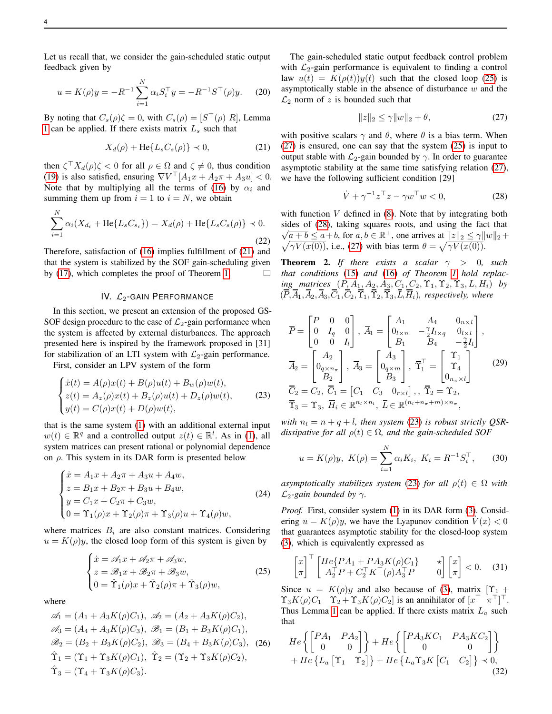$$
u = K(\rho)y = -R^{-1} \sum_{i=1}^{N} \alpha_i S_i^{\top} y = -R^{-1} S^{\top}(\rho) y.
$$
 (20)

By noting that  $C_s(\rho)\zeta = 0$ , with  $C_s(\rho) = [S^{\top}(\rho) R]$ , Lemma [1](#page-1-2) can be applied. If there exists matrix  $L<sub>s</sub>$  such that

$$
X_d(\rho) + \text{He}\{L_s C_s(\rho)\} \prec 0,\tag{21}
$$

<span id="page-3-0"></span>then  $\zeta^\top X_d(\rho)\zeta < 0$  for all  $\rho \in \Omega$  and  $\zeta \neq 0$ , thus condition [\(19\)](#page-2-9) is also satisfied, ensuring  $\nabla V^{\top}[A_1x + A_2\pi + A_3u] < 0$ . Note that by multiplying all the terms of [\(16\)](#page-2-10) by  $\alpha_i$  and summing them up from  $i = 1$  to  $i = N$ , we obtain

$$
\sum_{i=1}^{N} \alpha_i (X_{d_i} + \text{He}\{L_s C_{s_i}\}) = X_d(\rho) + \text{He}\{L_s C_s(\rho)\} \prec 0.
$$
\n(22)

Therefore, satisfaction of [\(16\)](#page-2-10) implies fulfillment of [\(21\)](#page-3-0) and that the system is stabilized by the SOF gain-scheduling given by [\(17\)](#page-2-11), which completes the proof of Theorem [1.](#page-2-12)  $\Box$ 

### IV.  $\mathcal{L}_2$ -GAIN PERFORMANCE

In this section, we present an extension of the proposed GS-SOF design procedure to the case of  $\mathcal{L}_2$ -gain performance when the system is affected by external disturbances. The approach presented here is inspired by the framework proposed in [31] for stabilization of an LTI system with  $\mathcal{L}_2$ -gain performance.

First, consider an LPV system of the form

$$
\begin{cases}\n\dot{x}(t) = A(\rho)x(t) + B(\rho)u(t) + B_w(\rho)w(t), \\
z(t) = A_z(\rho)x(t) + B_z(\rho)u(t) + D_z(\rho)w(t), \\
y(t) = C(\rho)x(t) + D(\rho)w(t),\n\end{cases}
$$
\n(23)

that is the same system [\(1\)](#page-1-0) with an additional external input  $w(t) \in \mathbb{R}^q$  and a controlled output  $z(t) \in \mathbb{R}^l$ . As in [\(1\)](#page-1-0), all system matrices can present rational or polynomial dependence on  $\rho$ . This system in its DAR form is presented below

$$
\begin{cases}\n\dot{x} = A_1 x + A_2 \pi + A_3 u + A_4 w, \\
z = B_1 x + B_2 \pi + B_3 u + B_4 w, \\
y = C_1 x + C_2 \pi + C_3 w, \\
0 = \Upsilon_1(\rho) x + \Upsilon_2(\rho) \pi + \Upsilon_3(\rho) u + \Upsilon_4(\rho) w,\n\end{cases}
$$
\n(24)

where matrices  $B_i$  are also constant matrices. Considering  $u = K(\rho)y$ , the closed loop form of this system is given by

<span id="page-3-1"></span>
$$
\begin{cases}\n\dot{x} = \mathscr{A}_1 x + \mathscr{A}_2 \pi + \mathscr{A}_3 w, \\
z = \mathscr{B}_1 x + \mathscr{B}_2 \pi + \mathscr{B}_3 w, \\
0 = \hat{\Upsilon}_1(\rho) x + \hat{\Upsilon}_2(\rho) \pi + \hat{\Upsilon}_3(\rho) w,\n\end{cases}
$$
\n(25)

where

<span id="page-3-6"></span>
$$
\mathcal{A}_1 = (A_1 + A_3 K(\rho) C_1), \ \mathcal{A}_2 = (A_2 + A_3 K(\rho) C_2), \n\mathcal{A}_3 = (A_4 + A_3 K(\rho) C_3), \ \mathcal{B}_1 = (B_1 + B_3 K(\rho) C_1), \n\mathcal{B}_2 = (B_2 + B_3 K(\rho) C_2), \ \mathcal{B}_3 = (B_4 + B_3 K(\rho) C_3), \ (26) \n\hat{\Upsilon}_1 = (\Upsilon_1 + \Upsilon_3 K(\rho) C_1), \ \hat{\Upsilon}_2 = (\Upsilon_2 + \Upsilon_3 K(\rho) C_2), \n\hat{\Upsilon}_3 = (\Upsilon_4 + \Upsilon_3 K(\rho) C_3).
$$

The gain-scheduled static output feedback control problem with  $\mathcal{L}_2$ -gain performance is equivalent to finding a control law  $u(t) = K(\rho(t))y(t)$  such that the closed loop [\(25\)](#page-3-1) is asymptotically stable in the absence of disturbance  $w$  and the  $\mathcal{L}_2$  norm of z is bounded such that

<span id="page-3-2"></span>
$$
||z||_2 \le \gamma ||w||_2 + \theta,\tag{27}
$$

with positive scalars  $\gamma$  and  $\theta$ , where  $\theta$  is a bias term. When [\(27\)](#page-3-2) is ensured, one can say that the system [\(25\)](#page-3-1) is input to output stable with  $\mathcal{L}_2$ -gain bounded by  $\gamma$ . In order to guarantee asymptotic stability at the same time satisfying relation [\(27\)](#page-3-2), we have the following sufficient condition [29]

<span id="page-3-3"></span>
$$
\dot{V} + \gamma^{-1} z^{\top} z - \gamma w^{\top} w < 0,\tag{28}
$$

with function  $V$  defined in  $(8)$ . Note that by integrating both sides of  $(28)$ , taking squares roots, and using the fact that  $\overline{a+b} \le a+b$ , for  $a, b \in \mathbb{R}^+$ , one arrives at  $||z||_2 \le \gamma ||w||_2 +$  $\sqrt{\gamma V(x(0))}$ , i.e., [\(27\)](#page-3-2) with bias term  $\theta = \sqrt{\gamma V(x(0))}$ .

**Theorem 2.** *If there exists a scalar*  $\gamma > 0$ , such *that conditions* [\(15\)](#page-2-7) *and* [\(16\)](#page-2-10) *of Theorem [1](#page-2-12) hold replacing matrices*  $(P, A_1, A_2, A_3, C_1, C_2, \Upsilon_1, \Upsilon_2, \Upsilon_3, L, H_i)$  *by*  $(\overline{P}, \overline{A}_1, \overline{A}_2, \overline{A}_3, \overline{C}_1, \overline{C}_2, \overline{\Upsilon}_1, \overline{\Upsilon}_2, \overline{\Upsilon}_3, \overline{L}, \overline{H}_i)$ *, respectively, where* 

<span id="page-3-7"></span>
$$
\overline{P} = \begin{bmatrix} P & 0 & 0 \\ 0 & I_q & 0 \\ 0 & 0 & I_l \end{bmatrix}, \overline{A}_1 = \begin{bmatrix} A_1 & A_4 & 0_{n \times l} \\ 0_{l \times n} & -\frac{\gamma}{2} I_{l \times q} & 0_{l \times l} \\ B_1 & B_4 & -\frac{\gamma}{2} I_l \end{bmatrix},
$$

$$
\overline{A}_2 = \begin{bmatrix} A_2 \\ 0_{q \times n_{\pi}} \\ B_2 \end{bmatrix}, \overline{A}_3 = \begin{bmatrix} A_3 \\ 0_{q \times m} \\ B_3 \end{bmatrix}, \overline{Y}_1^{\top} = \begin{bmatrix} \Upsilon_1 \\ \Upsilon_4 \\ 0_{n_{\pi} \times l} \end{bmatrix}
$$

$$
\overline{C}_2 = C_2, \overline{C}_1 = \begin{bmatrix} C_1 & C_3 & 0_{r \times l} \end{bmatrix}, \overline{Y}_2 = \Upsilon_2,
$$

$$
\overline{Y}_3 = \Upsilon_3, \overline{H}_i \in \mathbb{R}^{n_l \times n_l}, \overline{L} \in \mathbb{R}^{(n_l + n_{\pi} + m) \times n_{\pi}},
$$

<span id="page-3-4"></span>*with*  $n_l = n + q + l$ *, then system* [\(23\)](#page-3-4) *is robust strictly QSRdissipative for all*  $\rho(t) \in \Omega$ *, and the gain-scheduled SOF* 

<span id="page-3-9"></span>
$$
u = K(\rho)y, \ K(\rho) = \sum_{i=1}^{N} \alpha_i K_i, \ K_i = R^{-1} S_i^{\top}, \tag{30}
$$

*asymptotically stabilizes system* [\(23\)](#page-3-4) *for all*  $\rho(t) \in \Omega$  *with*  $\mathcal{L}_2$ -gain bounded by  $\gamma$ .

*Proof.* First, consider system [\(1\)](#page-1-0) in its DAR form [\(3\)](#page-1-1). Considering  $u = K(\rho)y$ , we have the Lyapunov condition  $V(x) < 0$ that guarantees asymptotic stability for the closed-loop system [\(3\)](#page-1-1), which is equivalently expressed as

<span id="page-3-5"></span>
$$
\begin{bmatrix} x \\ \pi \end{bmatrix}^{\top} \begin{bmatrix} He\{PA_1 + PA_3K(\rho)C_1\} & \star \\ A_2^{\top}P + C_2^{\top}K^{\top}(\rho)A_3^{\top}P & 0 \end{bmatrix} \begin{bmatrix} x \\ \pi \end{bmatrix} < 0. \quad (31)
$$

Since  $u = K(\rho)y$  and also because of [\(3\)](#page-1-1), matrix  $[\Upsilon_1 +$  $\Upsilon_3 K(\rho) C_1 \quad \Upsilon_2 + \Upsilon_3 K(\rho) C_2$  is an annihilator of  $[x^\top \ \pi^\top]^\top$ . Thus Lemma [1](#page-1-2) can be applied. If there exists matrix  $L_a$  such that

<span id="page-3-8"></span>
$$
He \left\{ \begin{bmatrix} P A_1 & P A_2 \\ 0 & 0 \end{bmatrix} \right\} + He \left\{ \begin{bmatrix} P A_3 K C_1 & P A_3 K C_2 \\ 0 & 0 \end{bmatrix} \right\} + He \left\{ L_a \begin{bmatrix} \Upsilon_1 & \Upsilon_2 \end{bmatrix} \right\} + He \left\{ L_a \Upsilon_3 K \begin{bmatrix} C_1 & C_2 \end{bmatrix} \right\} \prec 0,
$$
(32)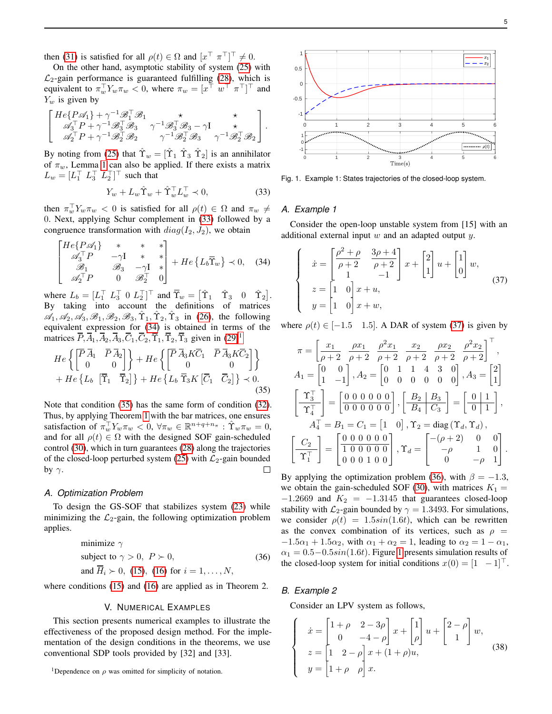then [\(31\)](#page-3-5) is satisfied for all  $\rho(t) \in \Omega$  and  $[x^{\top} \ \pi^{\top}]^{\top} \neq 0$ .

On the other hand, asymptotic stability of system [\(25\)](#page-3-1) with  $\mathcal{L}_2$ -gain performance is guaranteed fulfilling [\(28\)](#page-3-3), which is equivalent to  $\pi_w^{\top} Y_w \pi_w < 0$ , where  $\pi_w = [x^{\top} \ w^{\top} \ \pi^{\top}]^{\top}$  and  $Y_w$  is given by

$$
\left[ \begin{array}{ccc} H e \{ P \mathscr{A}_1 \} + \gamma^{-1} \mathscr{B}_1^\top \mathscr{B}_1 & \star & \star \\ \mathscr{A}_3^\top P + \gamma^{-1} \mathscr{B}_3^\top \mathscr{B}_3 & \gamma^{-1} \mathscr{B}_3^\top \mathscr{B}_3 - \gamma I & \star \\ \mathscr{A}_2^\top P + \gamma^{-1} \mathscr{B}_2^\top \mathscr{B}_2 & \gamma^{-1} \mathscr{B}_2^\top \mathscr{B}_3 & \gamma^{-1} \mathscr{B}_2^\top \mathscr{B}_2 \end{array} \right].
$$

By noting from [\(25\)](#page-3-1) that  $\hat{\Upsilon}_w = [\hat{\Upsilon}_1 \; \hat{\Upsilon}_3 \; \hat{\Upsilon}_2]$  is an annihilator of  $\pi_w$ , Lemma [1](#page-1-2) can also be applied. If there exists a matrix  $L_w = [L_1^\top \ L_3^\top \ L_2^\top]^\top$  such that

<span id="page-4-0"></span>
$$
Y_w + L_w \hat{\Upsilon}_w + \hat{\Upsilon}_w^{\top} L_w^{\top} \prec 0, \tag{33}
$$

then  $\pi_w^{\top} Y_w \pi_w < 0$  is satisfied for all  $\rho(t) \in \Omega$  and  $\pi_w \neq$ 0. Next, applying Schur complement in [\(33\)](#page-4-0) followed by a congruence transformation with  $diag(I_2, J_2)$ , we obtain

<span id="page-4-1"></span>
$$
\begin{bmatrix}\nHe\{P\mathscr{A}_1\} & * & * & * \\
\mathscr{A}_3^\top P & -\gamma I & * & * \\
\mathscr{B}_1 & \mathscr{B}_3 & -\gamma I & * \\
\mathscr{A}_2^\top P & 0 & \mathscr{B}_2^\top\n\end{bmatrix} + He\{L_b\overline{\Upsilon}_w\} \prec 0, \quad (34)
$$

where  $L_b = [L_1^\top L_3^\top 0 L_2^\top]^\top$  and  $\overline{\Upsilon}_w = [\hat{\Upsilon}_1 \quad \hat{\Upsilon}_3 \quad 0 \quad \hat{\Upsilon}_2].$ By taking into account the definitions of matrices  $\mathscr{A}_1, \mathscr{A}_2, \mathscr{A}_3, \mathscr{B}_1, \mathscr{B}_2, \mathscr{B}_3, \hat{\Upsilon}_1, \hat{\Upsilon}_2, \hat{\Upsilon}_3$  in [\(26\)](#page-3-6), the following equivalent expression for [\(34\)](#page-4-1) is obtained in terms of the matrices  $\overline{P}, \overline{A}_1, \overline{A}_2, \overline{A}_3, \overline{C}_1, \overline{C}_2, \overline{\Upsilon}_1, \overline{\Upsilon}_2, \overline{\Upsilon}_3$  $\overline{P}, \overline{A}_1, \overline{A}_2, \overline{A}_3, \overline{C}_1, \overline{C}_2, \overline{\Upsilon}_1, \overline{\Upsilon}_2, \overline{\Upsilon}_3$  $\overline{P}, \overline{A}_1, \overline{A}_2, \overline{A}_3, \overline{C}_1, \overline{C}_2, \overline{\Upsilon}_1, \overline{\Upsilon}_2, \overline{\Upsilon}_3$  given in [\(29\)](#page-3-7)<sup>1</sup>

<span id="page-4-3"></span>
$$
He\left\{ \begin{bmatrix} \overline{P} \,\overline{A}_1 & \overline{P} \,\overline{A}_2 \\ 0 & 0 \end{bmatrix} \right\} + He\left\{ \begin{bmatrix} \overline{P} \,\overline{A}_3 K \overline{C}_1 & \overline{P} \,\overline{A}_3 K \overline{C}_2 \\ 0 & 0 \end{bmatrix} \right\} + He\left\{ L_b \begin{bmatrix} \overline{\Upsilon}_1 & \overline{\Upsilon}_2 \end{bmatrix} \right\} + He\left\{ L_b \begin{bmatrix} \overline{\Upsilon}_3 K & \overline{C}_1 & \overline{C}_2 \end{bmatrix} \right\} \prec 0.
$$
\n(35)

Note that condition [\(35\)](#page-4-3) has the same form of condition [\(32\)](#page-3-8). Thus, by applying Theorem [1](#page-2-12) with the bar matrices, one ensures satisfaction of  $\pi_w^{\top} Y_w \pi_w < 0$ ,  $\forall \pi_w \in \mathbb{R}^{n+q+n_{\pi}} : \hat{\Upsilon}_w \pi_w = 0$ , and for all  $\rho(t) \in \Omega$  with the designed SOF gain-scheduled control [\(30\)](#page-3-9), which in turn guarantees [\(28\)](#page-3-3) along the trajectories of the closed-loop perturbed system [\(25\)](#page-3-1) with  $\mathcal{L}_2$ -gain bounded by  $\gamma$ .  $\Box$ 

### *A. Optimization Problem*

To design the GS-SOF that stabilizes system [\(23\)](#page-3-4) while minimizing the  $\mathcal{L}_2$ -gain, the following optimization problem applies.

minimize 
$$
\gamma
$$
  
subject to  $\gamma > 0$ ,  $P > 0$ ,  
and  $\overline{H}_i > 0$ , (15), (16) for  $i = 1,..., N$ , (36)

<span id="page-4-5"></span>where conditions [\(15\)](#page-2-7) and [\(16\)](#page-2-10) are applied as in Theorem 2.

# V. NUMERICAL EXAMPLES

This section presents numerical examples to illustrate the effectiveness of the proposed design method. For the implementation of the design conditions in the theorems, we use conventional SDP tools provided by [32] and [33].

<span id="page-4-2"></span>



<span id="page-4-6"></span>Fig. 1. Example 1: States trajectories of the closed-loop system.

#### *A. Example 1*

Consider the open-loop unstable system from [15] with an additional external input  $w$  and an adapted output  $y$ .

<span id="page-4-4"></span>
$$
\begin{cases}\n\dot{x} = \begin{bmatrix} \frac{\rho^2 + \rho}{\rho + 2} & \frac{3\rho + 4}{\rho + 2} \\ 1 & -1 \end{bmatrix} x + \begin{bmatrix} 2 \\ 1 \end{bmatrix} u + \begin{bmatrix} 1 \\ 0 \end{bmatrix} w, \\
z = \begin{bmatrix} 1 & 0 \\ 1 & 0 \end{bmatrix} x + u, \\
y = \begin{bmatrix} 1 & 0 \\ 1 & 0 \end{bmatrix} x + w,\n\end{cases} (37)
$$

where  $\rho(t) \in [-1.5 \quad 1.5]$ . A DAR of system [\(37\)](#page-4-4) is given by

<span id="page-4-7"></span>
$$
\pi = \begin{bmatrix} x_1 & \rho x_1 & \rho^2 x_1 & x_2 & \rho x_2 & \rho^2 x_2 \\ \rho + 2 & \rho + 2 & \rho + 2 & \rho + 2 & \rho + 2 & \rho + 2 \end{bmatrix}^{\top},
$$
  
\n
$$
A_1 = \begin{bmatrix} 0 & 0 \\ 1 & -1 \end{bmatrix}, A_2 = \begin{bmatrix} 0 & 1 & 1 & 4 & 3 & 0 \\ 0 & 0 & 0 & 0 & 0 & 0 \end{bmatrix}, A_3 = \begin{bmatrix} 2 \\ 1 \end{bmatrix}
$$
  
\n
$$
\begin{bmatrix} \Upsilon_3^{\top} \\ \Upsilon_4^{\top} \end{bmatrix} = \begin{bmatrix} 0 & 0 & 0 & 0 & 0 & 0 \\ 0 & 0 & 0 & 0 & 0 & 0 \end{bmatrix}, \begin{bmatrix} B_2 & B_3 \\ B_4 & C_3 \end{bmatrix} = \begin{bmatrix} 0 & 1 \\ 0 & 1 \end{bmatrix},
$$
  
\n
$$
A_4^{\top} = B_1 = C_1 = \begin{bmatrix} 1 & 0 \end{bmatrix}, \Upsilon_2 = \text{diag}(\Upsilon_d, \Upsilon_d),
$$
  
\n
$$
\begin{bmatrix} C_2 \\ \Upsilon_1^{\top} \end{bmatrix} = \begin{bmatrix} 0 & 0 & 0 & 0 & 0 & 0 \\ 1 & 0 & 0 & 0 & 0 & 0 \\ 0 & 0 & 1 & 0 & 0 & 0 \end{bmatrix}, \Upsilon_d = \begin{bmatrix} -(\rho + 2) & 0 & 0 \\ -\rho & 1 & 0 \\ 0 & -\rho & 1 \end{bmatrix}.
$$

By applying the optimization problem [\(36\)](#page-4-5), with  $\beta = -1.3$ , we obtain the gain-scheduled SOF [\(30\)](#page-3-9), with matrices  $K_1 =$  $-1.2669$  and  $K_2 = -1.3145$  that guarantees closed-loop stability with  $\mathcal{L}_2$ -gain bounded by  $\gamma = 1.3493$ . For simulations, we consider  $\rho(t) = 1.5\sin(1.6t)$ , which can be rewritten as the convex combination of its vertices, such as  $\rho =$  $-1.5\alpha_1 + 1.5\alpha_2$ , with  $\alpha_1 + \alpha_2 = 1$ , leading to  $\alpha_2 = 1 - \alpha_1$ ,  $\alpha_1 = 0.5 - 0.5 \sin(1.6t)$ . Figure [1](#page-4-6) presents simulation results of the closed-loop system for initial conditions  $x(0) = \begin{bmatrix} 1 \\ -1 \end{bmatrix}^\top$ .

# *B. Example 2*

Consider an LPV system as follows,

$$
\begin{cases}\n\dot{x} = \begin{bmatrix} 1+\rho & 2-3\rho \\ 0 & -4-\rho \end{bmatrix} x + \begin{bmatrix} 1 \\ \rho \end{bmatrix} u + \begin{bmatrix} 2-\rho \\ 1 \end{bmatrix} w, \\
z = \begin{bmatrix} 1 & 2-\rho \\ 1+\rho & \rho \end{bmatrix} x + (1+\rho)u, \n\end{cases} (38)
$$